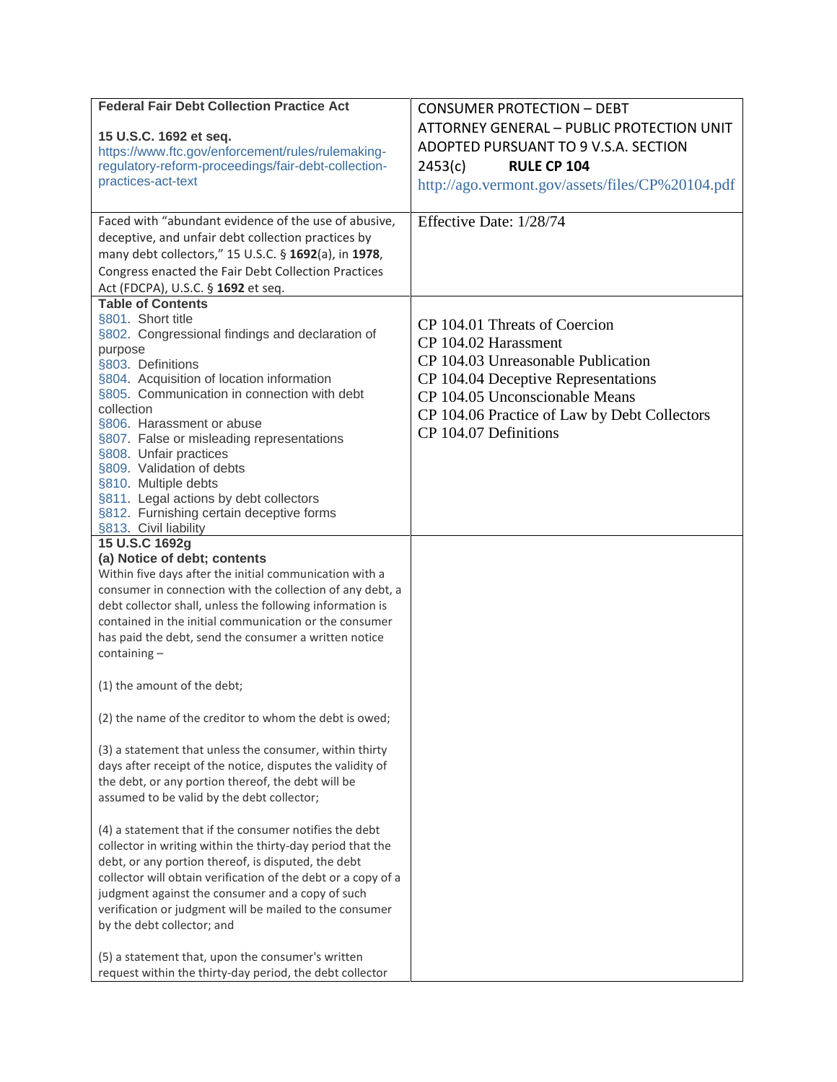| <b>Federal Fair Debt Collection Practice Act</b>                          | <b>CONSUMER PROTECTION - DEBT</b>                |
|---------------------------------------------------------------------------|--------------------------------------------------|
|                                                                           | ATTORNEY GENERAL - PUBLIC PROTECTION UNIT        |
| 15 U.S.C. 1692 et seq.                                                    | ADOPTED PURSUANT TO 9 V.S.A. SECTION             |
| https://www.ftc.gov/enforcement/rules/rulemaking-                         | <b>RULE CP 104</b>                               |
| regulatory-reform-proceedings/fair-debt-collection-<br>practices-act-text | 2453(c)                                          |
|                                                                           | http://ago.vermont.gov/assets/files/CP%20104.pdf |
| Faced with "abundant evidence of the use of abusive,                      | Effective Date: 1/28/74                          |
| deceptive, and unfair debt collection practices by                        |                                                  |
| many debt collectors," 15 U.S.C. § 1692(a), in 1978,                      |                                                  |
| Congress enacted the Fair Debt Collection Practices                       |                                                  |
| Act (FDCPA), U.S.C. § 1692 et seq.                                        |                                                  |
| <b>Table of Contents</b>                                                  |                                                  |
| §801. Short title                                                         | CP 104.01 Threats of Coercion                    |
| §802. Congressional findings and declaration of                           | CP 104.02 Harassment                             |
| purpose<br>§803. Definitions                                              | CP 104.03 Unreasonable Publication               |
| §804. Acquisition of location information                                 | CP 104.04 Deceptive Representations              |
| §805. Communication in connection with debt                               | CP 104.05 Unconscionable Means                   |
| collection                                                                | CP 104.06 Practice of Law by Debt Collectors     |
| §806. Harassment or abuse                                                 | CP 104.07 Definitions                            |
| §807. False or misleading representations                                 |                                                  |
| §808. Unfair practices                                                    |                                                  |
| §809. Validation of debts<br>§810. Multiple debts                         |                                                  |
| §811. Legal actions by debt collectors                                    |                                                  |
| §812. Furnishing certain deceptive forms                                  |                                                  |
| §813. Civil liability                                                     |                                                  |
| 15 U.S.C 1692g                                                            |                                                  |
| (a) Notice of debt; contents                                              |                                                  |
| Within five days after the initial communication with a                   |                                                  |
| consumer in connection with the collection of any debt, a                 |                                                  |
| debt collector shall, unless the following information is                 |                                                  |
| contained in the initial communication or the consumer                    |                                                  |
| has paid the debt, send the consumer a written notice<br>$containing -$   |                                                  |
|                                                                           |                                                  |
| (1) the amount of the debt;                                               |                                                  |
|                                                                           |                                                  |
| (2) the name of the creditor to whom the debt is owed;                    |                                                  |
| (3) a statement that unless the consumer, within thirty                   |                                                  |
| days after receipt of the notice, disputes the validity of                |                                                  |
| the debt, or any portion thereof, the debt will be                        |                                                  |
| assumed to be valid by the debt collector;                                |                                                  |
|                                                                           |                                                  |
| (4) a statement that if the consumer notifies the debt                    |                                                  |
| collector in writing within the thirty-day period that the                |                                                  |
| debt, or any portion thereof, is disputed, the debt                       |                                                  |
| collector will obtain verification of the debt or a copy of a             |                                                  |
| judgment against the consumer and a copy of such                          |                                                  |
| verification or judgment will be mailed to the consumer                   |                                                  |
| by the debt collector; and                                                |                                                  |
| (5) a statement that, upon the consumer's written                         |                                                  |
| request within the thirty-day period, the debt collector                  |                                                  |